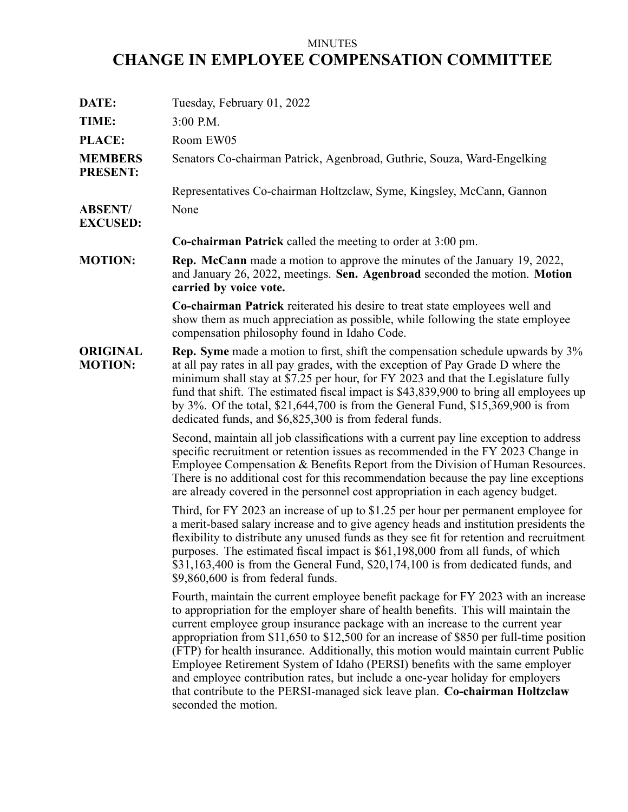## MINUTES

## **CHANGE IN EMPLOYEE COMPENSATION COMMITTEE**

| DATE:                             | Tuesday, February 01, 2022                                                                                                                                                                                                                                                                                                                                                                                                                                                                                                                                                                                                                                                                                         |
|-----------------------------------|--------------------------------------------------------------------------------------------------------------------------------------------------------------------------------------------------------------------------------------------------------------------------------------------------------------------------------------------------------------------------------------------------------------------------------------------------------------------------------------------------------------------------------------------------------------------------------------------------------------------------------------------------------------------------------------------------------------------|
| TIME:                             | 3:00 P.M.                                                                                                                                                                                                                                                                                                                                                                                                                                                                                                                                                                                                                                                                                                          |
| PLACE:                            | Room EW05                                                                                                                                                                                                                                                                                                                                                                                                                                                                                                                                                                                                                                                                                                          |
| <b>MEMBERS</b><br><b>PRESENT:</b> | Senators Co-chairman Patrick, Agenbroad, Guthrie, Souza, Ward-Engelking                                                                                                                                                                                                                                                                                                                                                                                                                                                                                                                                                                                                                                            |
|                                   | Representatives Co-chairman Holtzclaw, Syme, Kingsley, McCann, Gannon                                                                                                                                                                                                                                                                                                                                                                                                                                                                                                                                                                                                                                              |
| <b>ABSENT/</b><br><b>EXCUSED:</b> | None                                                                                                                                                                                                                                                                                                                                                                                                                                                                                                                                                                                                                                                                                                               |
|                                   | <b>Co-chairman Patrick</b> called the meeting to order at $3:00$ pm.                                                                                                                                                                                                                                                                                                                                                                                                                                                                                                                                                                                                                                               |
| <b>MOTION:</b>                    | <b>Rep. McCann</b> made a motion to approve the minutes of the January 19, 2022,<br>and January 26, 2022, meetings. Sen. Agenbroad seconded the motion. Motion<br>carried by voice vote.                                                                                                                                                                                                                                                                                                                                                                                                                                                                                                                           |
|                                   | <b>Co-chairman Patrick</b> reiterated his desire to treat state employees well and<br>show them as much appreciation as possible, while following the state employee<br>compensation philosophy found in Idaho Code.                                                                                                                                                                                                                                                                                                                                                                                                                                                                                               |
| <b>ORIGINAL</b><br><b>MOTION:</b> | <b>Rep.</b> Syme made a motion to first, shift the compensation schedule upwards by 3%<br>at all pay rates in all pay grades, with the exception of Pay Grade D where the<br>minimum shall stay at \$7.25 per hour, for FY 2023 and that the Legislature fully<br>fund that shift. The estimated fiscal impact is \$43,839,900 to bring all employees up<br>by $3\%$ . Of the total, \$21,644,700 is from the General Fund, \$15,369,900 is from<br>dedicated funds, and \$6,825,300 is from federal funds.                                                                                                                                                                                                        |
|                                   | Second, maintain all job classifications with a current pay line exception to address<br>specific recruitment or retention issues as recommended in the FY 2023 Change in<br>Employee Compensation & Benefits Report from the Division of Human Resources.<br>There is no additional cost for this recommendation because the pay line exceptions<br>are already covered in the personnel cost appropriation in each agency budget.                                                                                                                                                                                                                                                                                |
|                                   | Third, for FY 2023 an increase of up to \$1.25 per hour per permanent employee for<br>a merit-based salary increase and to give agency heads and institution presidents the<br>flexibility to distribute any unused funds as they see fit for retention and recruitment<br>purposes. The estimated fiscal impact is \$61,198,000 from all funds, of which<br>\$31,163,400 is from the General Fund, \$20,174,100 is from dedicated funds, and<br>$$9,860,600$ is from federal funds.                                                                                                                                                                                                                               |
|                                   | Fourth, maintain the current employee benefit package for FY 2023 with an increase<br>to appropriation for the employer share of health benefits. This will maintain the<br>current employee group insurance package with an increase to the current year<br>appropriation from \$11,650 to \$12,500 for an increase of \$850 per full-time position<br>(FTP) for health insurance. Additionally, this motion would maintain current Public<br>Employee Retirement System of Idaho (PERSI) benefits with the same employer<br>and employee contribution rates, but include a one-year holiday for employers<br>that contribute to the PERSI-managed sick leave plan. Co-chairman Holtzclaw<br>seconded the motion. |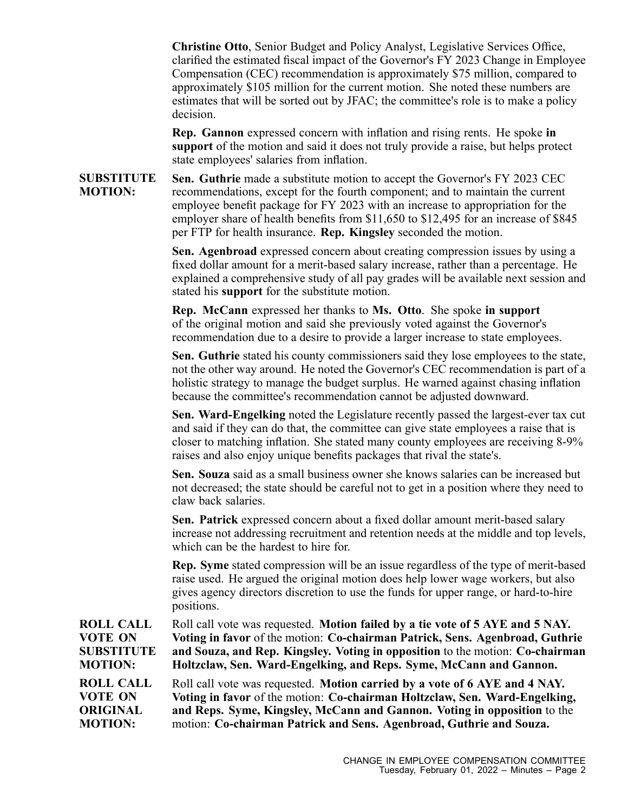**Christine Otto**, Senior Budget and Policy Analyst, Legislative Services Office, clarified the estimated fiscal impact of the Governor's FY 2023 Change in Employee Compensation (CEC) recommendation is approximately \$75 million, compared to approximately \$105 million for the current motion. She noted these numbers are estimates that will be sorted out by JFAC; the committee's role is to make <sup>a</sup> policy decision.

**Rep. Gannon** expressed concern with inflation and rising rents. He spoke **in suppor<sup>t</sup>** of the motion and said it does not truly provide <sup>a</sup> raise, but helps protect state employees' salaries from inflation.

**SUBSTITUTE MOTION: Sen. Guthrie** made <sup>a</sup> substitute motion to accep<sup>t</sup> the Governor's FY 2023 CEC recommendations, excep<sup>t</sup> for the fourth component; and to maintain the current employee benefit package for FY 2023 with an increase to appropriation for the employer share of health benefits from \$11,650 to \$12,495 for an increase of \$845 per FTP for health insurance. **Rep. Kingsley** seconded the motion.

> **Sen. Agenbroad** expressed concern about creating compression issues by using <sup>a</sup> fixed dollar amount for <sup>a</sup> merit-based salary increase, rather than <sup>a</sup> percentage. He explained <sup>a</sup> comprehensive study of all pay grades will be available next session and stated his **suppor<sup>t</sup>** for the substitute motion.

**Rep. McCann** expressed her thanks to **Ms. Otto**. She spoke **in suppor<sup>t</sup>** of the original motion and said she previously voted against the Governor's recommendation due to <sup>a</sup> desire to provide <sup>a</sup> larger increase to state employees.

**Sen. Guthrie** stated his county commissioners said they lose employees to the state, not the other way around. He noted the Governor's CEC recommendation is par<sup>t</sup> of <sup>a</sup> holistic strategy to manage the budget surplus. He warned against chasing inflation because the committee's recommendation cannot be adjusted downward.

**Sen. Ward-Engelking** noted the Legislature recently passed the largest-ever tax cut and said if they can do that, the committee can give state employees <sup>a</sup> raise that is closer to matching inflation. She stated many county employees are receiving 8-9% raises and also enjoy unique benefits packages that rival the state's.

**Sen. Souza** said as <sup>a</sup> small business owner she knows salaries can be increased but not decreased; the state should be careful not to ge<sup>t</sup> in <sup>a</sup> position where they need to claw back salaries.

**Sen. Patrick** expressed concern about <sup>a</sup> fixed dollar amount merit-based salary increase not addressing recruitment and retention needs at the middle and top levels, which can be the hardest to hire for.

**Rep. Syme** stated compression will be an issue regardless of the type of merit-based raise used. He argued the original motion does help lower wage workers, but also gives agency directors discretion to use the funds for upper range, or hard-to-hire positions.

**ROLL CALL VOTE ON SUBSTITUTE MOTION:** Roll call vote was requested. **Motion failed by <sup>a</sup> tie vote of 5 AYE and 5 NAY. Voting in favor** of the motion: **Co-chairman Patrick, Sens. Agenbroad, Guthrie and Souza, and Rep. Kingsley. Voting in opposition** to the motion: **Co-chairman Holtzclaw, Sen. Ward-Engelking, and Reps. Syme, McCann and Gannon.**

**ROLL CALL VOTE ON ORIGINAL MOTION:** Roll call vote was requested. **Motion carried by <sup>a</sup> vote of 6 AYE and 4 NAY. Voting in favor** of the motion: **Co-chairman Holtzclaw, Sen. Ward-Engelking, and Reps. Syme, Kingsley, McCann and Gannon. Voting in opposition** to the motion: **Co-chairman Patrick and Sens. Agenbroad, Guthrie and Souza.**